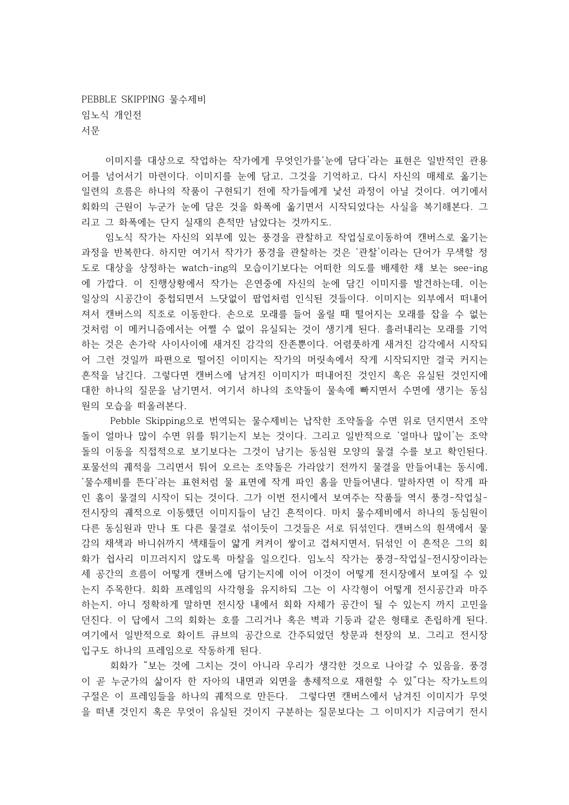PEBBLE SKIPPING 물수제비 임노식 개인전 서문

이미지를 대상으로 작업하는 작가에게 무엇인가를 눈에 담다'라는 표현은 일반적인 관용 어를 넘어서기 마련이다. 이미지를 눈에 담고, 그것을 기억하고, 다시 자신의 매체로 옮기는 일련의 흐름은 하나의 작품이 구현되기 전에 작가들에게 낯선 과정이 아닐 것이다. 여기에서 회화의 근원이 누군가 눈에 담은 것을 화폭에 옮기면서 시작되었다는 사실을 복기해본다. 그 리고 그 화폭에는 단지 실재의 흔적만 남았다는 것까지도.

임노식 작가는 자신의 외부에 있는 풍경을 관찰하고 작업실로이동하여 캔버스로 옮기는 과정을 반복한다. 하지만 여기서 작가가 풍경을 관찰하는 것은 '관찰'이라는 단어가 무색할 정 도로 대상을 상정하는 watch-ing의 모습이기보다는 어떠한 의도를 배제한 채 보는 see-ing 에 가깝다. 이 진행상황에서 작가는 은연중에 자신의 눈에 담긴 이미지를 발견하는데, 이는 일상의 시공간이 중첩되면서 느닷없이 팝업처럼 인식된 것들이다. 이미지는 외부에서 떠내어 져서 캔버스의 직조로 이동한다. 손으로 모래를 들어 올릴 때 떨어지는 모래를 잡을 수 없는 것처럼 이 메커니즘에서는 어쩔 수 없이 유실되는 것이 생기게 된다. 흘러내리는 모래를 기억 하는 것은 손가락 사이사이에 새겨진 감각의 잔존뿐이다. 어렴풋하게 새겨진 감각에서 시작되 어 그런 것일까 파편으로 떨어진 이미지는 작가의 머릿속에서 작게 시작되지만 결국 커지는 흔적을 남긴다. 그렇다면 캔버스에 남겨진 이미지가 떠내어진 것인지 혹은 유실된 것인지에 대한 하나의 질문을 남기면서, 여기서 하나의 조약돌이 물속에 빠지면서 수면에 생기는 동심 원의 모습을 떠올려본다.

Pebble Skipping으로 번역되는 물수제비는 납작한 조약돌을 수면 위로 던지면서 조약 돌이 얼마나 많이 수면 위를 튀기는지 보는 것이다. 그리고 일반적으로 '얼마나 많이'는 조약 돌의 이동을 직접적으로 보기보다는 그것이 남기는 동심원 모양의 물결 수를 보고 확인된다. 포물선의 궤적을 그리면서 튀어 오르는 조약돌은 가라앉기 전까지 물결을 만들어내는 동시에, '물수제비를 뜬다'라는 표현처럼 물 표면에 작게 파인 홈을 만들어낸다. 말하자면 이 작게 파 인 홈이 물결의 시작이 되는 것이다. 그가 이번 전시에서 보여주는 작품들 역시 풍경-작업실-전시장의 궤적으로 이동했던 이미지들이 남긴 흔적이다. 마치 물수제비에서 하나의 동심원이 다른 동심원과 만나 또 다른 물결로 섞이듯이 그것들은 서로 뒤섞인다. 캔버스의 흰색에서 물 감의 채색과 바니쉬까지 색채들이 얇게 켜켜이 쌓이고 겹쳐지면서, 뒤섞인 이 흔적은 그의 회 화가 쉽사리 미끄러지지 않도록 마찰을 일으킨다. 임노식 작가는 풍경-작업실-전시장이라는 세 공간의 흐름이 어떻게 캔버스에 담기는지에 이어 이것이 어떻게 전시장에서 보여질 수 있 는지 주목한다. 회화 프레임의 사각형을 유지하되 그는 이 사각형이 어떻게 전시공간과 마주 하는지, 아니 정확하게 말하면 전시장 내에서 회화 자체가 공간이 될 수 있는지 까지 고민을 던진다. 이 답에서 그의 회화는 호를 그리거나 혹은 벽과 기둥과 같은 형태로 존립하게 된다. 여기에서 일반적으로 화이트 큐브의 공간으로 간주되었던 창문과 천장의 보, 그리고 전시장 입구도 하나의 프레임으로 작동하게 된다.

회화가 "보는 것에 그치는 것이 아니라 우리가 생각한 것으로 나아갈 수 있음을, 풍경 이 곧 누군가의 삶이자 한 자아의 내면과 외면을 총체적으로 재현할 수 있"다는 작가노트의 구절은 이 프레임들을 하나의 궤적으로 만든다. 그렇다면 캔버스에서 남겨진 이미지가 무엇 을 떠낸 것인지 혹은 무엇이 유실된 것이지 구분하는 질문보다는 그 이미지가 지금여기 전시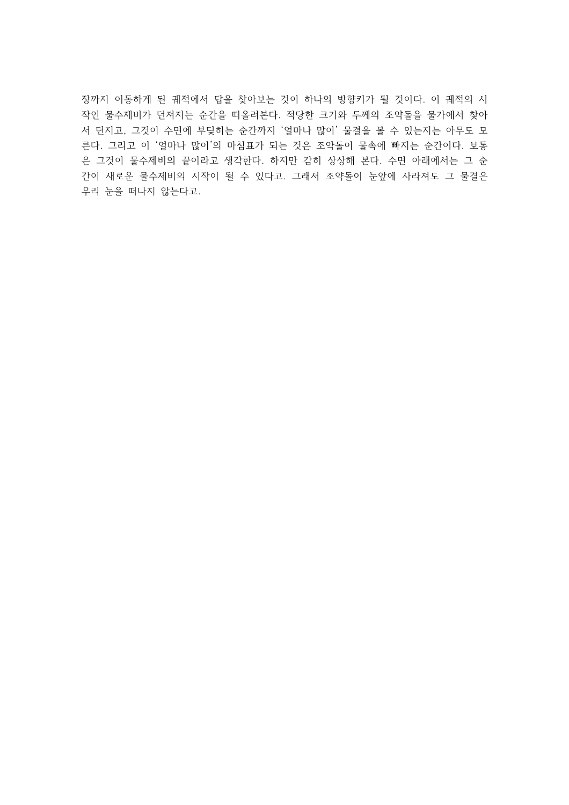장까지 이동하게 된 궤적에서 답을 찾아보는 것이 하나의 방향키가 될 것이다. 이 궤적의 시 작인 물수제비가 던져지는 순간을 떠올려본다. 적당한 크기와 두께의 조약돌을 물가에서 찾아 서 던지고, 그것이 수면에 부딪히는 순간까지 '얼마나 많이' 물결을 볼 수 있는지는 아무도 모 른다. 그리고 이 '얼마나 많이'의 마침표가 되는 것은 조약돌이 물속에 빠지는 순간이다. 보통 은 그것이 물수제비의 끝이라고 생각한다. 하지만 감히 상상해 본다. 수면 아래에서는 그 순 간이 새로운 물수제비의 시작이 될 수 있다고. 그래서 조약돌이 눈앞에 사라져도 그 물결은 우리 눈을 떠나지 않는다고.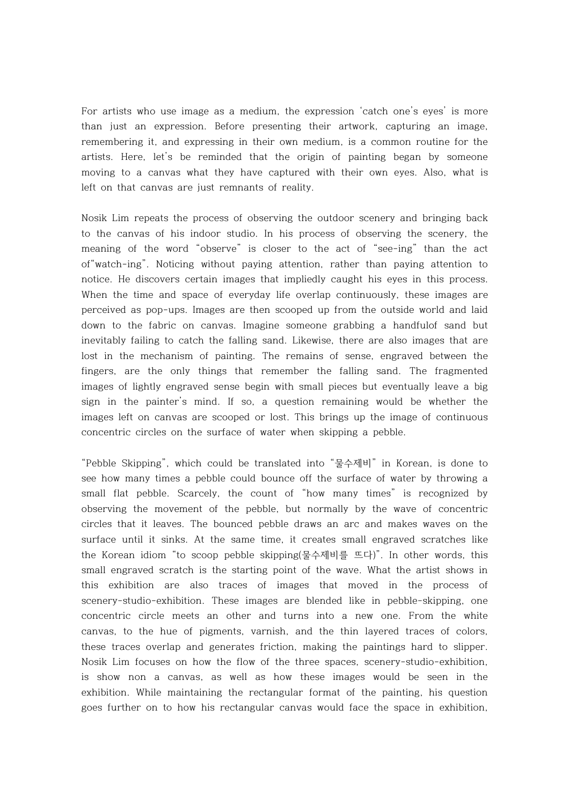For artists who use image as a medium, the expression 'catch one's eyes' is more than just an expression. Before presenting their artwork, capturing an image, remembering it, and expressing in their own medium, is a common routine for the artists. Here, let's be reminded that the origin of painting began by someone moving to a canvas what they have captured with their own eyes. Also, what is left on that canvas are just remnants of reality.

Nosik Lim repeats the process of observing the outdoor scenery and bringing back to the canvas of his indoor studio. In his process of observing the scenery, the meaning of the word "observe" is closer to the act of "see-ing" than the act of"watch-ing". Noticing without paying attention, rather than paying attention to notice. He discovers certain images that impliedly caught his eyes in this process. When the time and space of everyday life overlap continuously, these images are perceived as pop-ups. Images are then scooped up from the outside world and laid down to the fabric on canvas. Imagine someone grabbing a handfulof sand but inevitably failing to catch the falling sand. Likewise, there are also images that are lost in the mechanism of painting. The remains of sense, engraved between the fingers, are the only things that remember the falling sand. The fragmented images of lightly engraved sense begin with small pieces but eventually leave a big sign in the painter's mind. If so, a question remaining would be whether the images left on canvas are scooped or lost. This brings up the image of continuous concentric circles on the surface of water when skipping a pebble.

"Pebble Skipping", which could be translated into "물수제비" in Korean, is done to see how many times a pebble could bounce off the surface of water by throwing a small flat pebble. Scarcely, the count of "how many times" is recognized by observing the movement of the pebble, but normally by the wave of concentric circles that it leaves. The bounced pebble draws an arc and makes waves on the surface until it sinks. At the same time, it creates small engraved scratches like the Korean idiom "to scoop pebble skipping(물수제비를 뜨다)". In other words, this small engraved scratch is the starting point of the wave. What the artist shows in this exhibition are also traces of images that moved in the process of scenery-studio-exhibition. These images are blended like in pebble-skipping, one concentric circle meets an other and turns into a new one. From the white canvas, to the hue of pigments, varnish, and the thin layered traces of colors, these traces overlap and generates friction, making the paintings hard to slipper. Nosik Lim focuses on how the flow of the three spaces, scenery-studio-exhibition, is show non a canvas, as well as how these images would be seen in the exhibition. While maintaining the rectangular format of the painting, his question goes further on to how his rectangular canvas would face the space in exhibition,